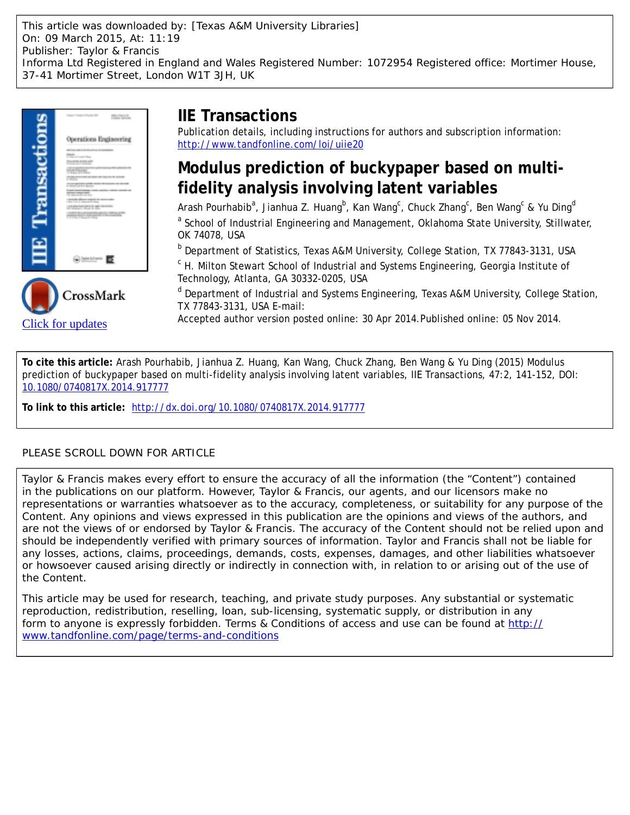This article was downloaded by: [Texas A&M University Libraries] On: 09 March 2015, At: 11:19 Publisher: Taylor & Francis Informa Ltd Registered in England and Wales Registered Number: 1072954 Registered office: Mortimer House, 37-41 Mortimer Street, London W1T 3JH, UK



## **IIE Transactions**

Publication details, including instructions for authors and subscription information: <http://www.tandfonline.com/loi/uiie20>

## **Modulus prediction of buckypaper based on multifidelity analysis involving latent variables**

Arash Pourhabib<sup>a</sup>, Jianhua Z. Huang<sup>b</sup>, Kan Wang<sup>c</sup>, Chuck Zhang<sup>c</sup>, Ben Wang<sup>c</sup> & Yu Ding<sup>d</sup> <sup>a</sup> School of Industrial Engineering and Management, Oklahoma State University, Stillwater, OK 74078, USA

**b** Department of Statistics, Texas A&M University, College Station, TX 77843-3131, USA

<sup>c</sup> H. Milton Stewart School of Industrial and Systems Engineering, Georgia Institute of Technology, Atlanta, GA 30332-0205, USA

<sup>d</sup> Department of Industrial and Systems Engineering, Texas A&M University, College Station, TX 77843-3131, USA E-mail:

Accepted author version posted online: 30 Apr 2014.Published online: 05 Nov 2014.

**To cite this article:** Arash Pourhabib, Jianhua Z. Huang, Kan Wang, Chuck Zhang, Ben Wang & Yu Ding (2015) Modulus prediction of buckypaper based on multi-fidelity analysis involving latent variables, IIE Transactions, 47:2, 141-152, DOI: [10.1080/0740817X.2014.917777](http://www.tandfonline.com/action/showCitFormats?doi=10.1080/0740817X.2014.917777)

**To link to this article:** <http://dx.doi.org/10.1080/0740817X.2014.917777>

### PLEASE SCROLL DOWN FOR ARTICLE

Taylor & Francis makes every effort to ensure the accuracy of all the information (the "Content") contained in the publications on our platform. However, Taylor & Francis, our agents, and our licensors make no representations or warranties whatsoever as to the accuracy, completeness, or suitability for any purpose of the Content. Any opinions and views expressed in this publication are the opinions and views of the authors, and are not the views of or endorsed by Taylor & Francis. The accuracy of the Content should not be relied upon and should be independently verified with primary sources of information. Taylor and Francis shall not be liable for any losses, actions, claims, proceedings, demands, costs, expenses, damages, and other liabilities whatsoever or howsoever caused arising directly or indirectly in connection with, in relation to or arising out of the use of the Content.

This article may be used for research, teaching, and private study purposes. Any substantial or systematic reproduction, redistribution, reselling, loan, sub-licensing, systematic supply, or distribution in any form to anyone is expressly forbidden. Terms & Conditions of access and use can be found at [http://](http://www.tandfonline.com/page/terms-and-conditions) [www.tandfonline.com/page/terms-and-conditions](http://www.tandfonline.com/page/terms-and-conditions)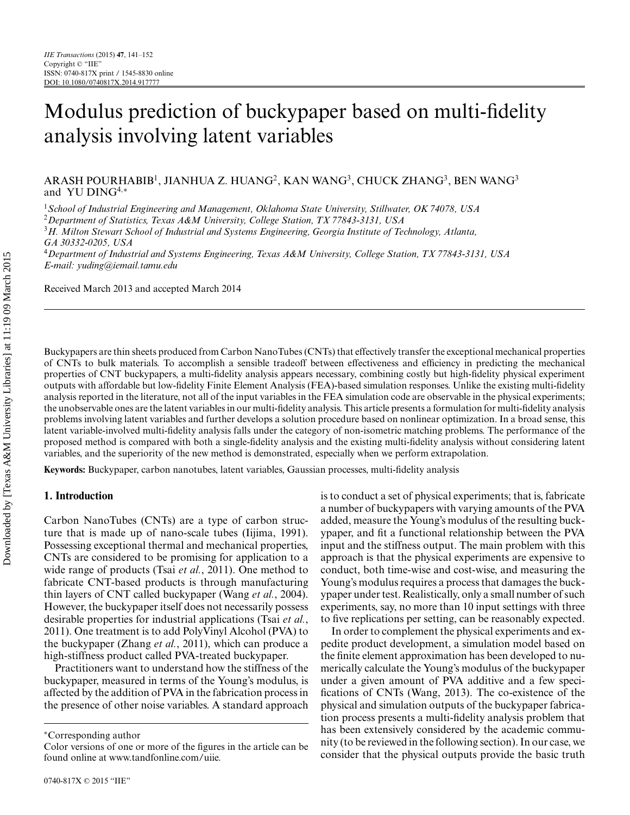# Modulus prediction of buckypaper based on multi-fidelity analysis involving latent variables

ARASH POURHABIB<sup>1</sup>, JIANHUA Z. HUANG<sup>2</sup>, KAN WANG<sup>3</sup>, CHUCK ZHANG<sup>3</sup>, BEN WANG<sup>3</sup> and YU DING<sup>4</sup>,<sup>∗</sup>

*School of Industrial Engineering and Management, Oklahoma State University, Stillwater, OK 74078, USA Department of Statistics, Texas A&M University, College Station, TX 77843-3131, USA H. Milton Stewart School of Industrial and Systems Engineering, Georgia Institute of Technology, Atlanta, GA 30332-0205, USA*

<sup>4</sup>*Department of Industrial and Systems Engineering, Texas A&M University, College Station, TX 77843-3131, USA E-mail: yuding@iemail.tamu.edu*

Received March 2013 and accepted March 2014

Buckypapers are thin sheets produced from Carbon NanoTubes (CNTs) that effectively transfer the exceptional mechanical properties of CNTs to bulk materials. To accomplish a sensible tradeoff between effectiveness and efficiency in predicting the mechanical properties of CNT buckypapers, a multi-fidelity analysis appears necessary, combining costly but high-fidelity physical experiment outputs with affordable but low-fidelity Finite Element Analysis (FEA)-based simulation responses. Unlike the existing multi-fidelity analysis reported in the literature, not all of the input variables in the FEA simulation code are observable in the physical experiments; the unobservable ones are the latent variables in our multi-fidelity analysis. This article presents a formulation for multi-fidelity analysis problems involving latent variables and further develops a solution procedure based on nonlinear optimization. In a broad sense, this latent variable-involved multi-fidelity analysis falls under the category of non-isometric matching problems. The performance of the proposed method is compared with both a single-fidelity analysis and the existing multi-fidelity analysis without considering latent variables, and the superiority of the new method is demonstrated, especially when we perform extrapolation.

**Keywords:** Buckypaper, carbon nanotubes, latent variables, Gaussian processes, multi-fidelity analysis

#### **1. Introduction**

Carbon NanoTubes (CNTs) are a type of carbon structure that is made up of nano-scale tubes (Iijima, 1991). Possessing exceptional thermal and mechanical properties, CNTs are considered to be promising for application to a wide range of products (Tsai *et al.*, 2011). One method to fabricate CNT-based products is through manufacturing thin layers of CNT called buckypaper (Wang *et al.*, 2004). However, the buckypaper itself does not necessarily possess desirable properties for industrial applications (Tsai *et al.*, 2011). One treatment is to add PolyVinyl Alcohol (PVA) to the buckypaper (Zhang *et al.*, 2011), which can produce a high-stiffness product called PVA-treated buckypaper.

Practitioners want to understand how the stiffness of the buckypaper, measured in terms of the Young's modulus, is affected by the addition of PVA in the fabrication process in the presence of other noise variables. A standard approach is to conduct a set of physical experiments; that is, fabricate a number of buckypapers with varying amounts of the PVA added, measure the Young's modulus of the resulting buckypaper, and fit a functional relationship between the PVA input and the stiffness output. The main problem with this approach is that the physical experiments are expensive to conduct, both time-wise and cost-wise, and measuring the Young's modulus requires a process that damages the buckypaper under test. Realistically, only a small number of such experiments, say, no more than 10 input settings with three to five replications per setting, can be reasonably expected.

In order to complement the physical experiments and expedite product development, a simulation model based on the finite element approximation has been developed to numerically calculate the Young's modulus of the buckypaper under a given amount of PVA additive and a few specifications of CNTs (Wang, 2013). The co-existence of the physical and simulation outputs of the buckypaper fabrication process presents a multi-fidelity analysis problem that has been extensively considered by the academic community (to be reviewed in the following section). In our case, we consider that the physical outputs provide the basic truth

<sup>∗</sup>Corresponding author

Color versions of one or more of the figures in the article can be found online at www.tandfonline.com/uiie.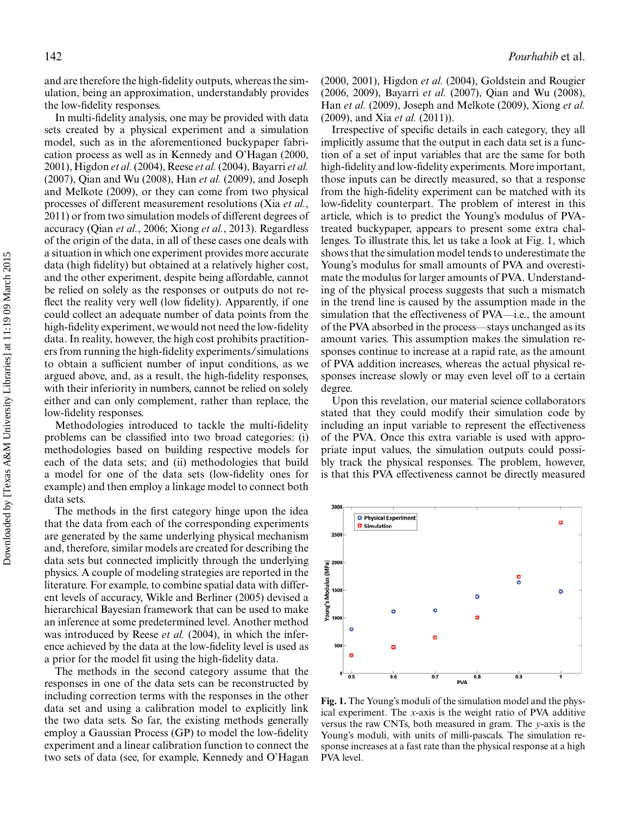and are therefore the high-fidelity outputs, whereas the simulation, being an approximation, understandably provides the low-fidelity responses.

In multi-fidelity analysis, one may be provided with data sets created by a physical experiment and a simulation model, such as in the aforementioned buckypaper fabrication process as well as in Kennedy and O'Hagan (2000, 2001), Higdon *et al.* (2004), Reese *et al.* (2004), Bayarri *et al.* (2007), Qian and Wu (2008), Han *et al.* (2009), and Joseph and Melkote (2009), or they can come from two physical processes of different measurement resolutions (Xia *et al.*, 2011) or from two simulation models of different degrees of accuracy (Qian *et al.*, 2006; Xiong *et al.*, 2013). Regardless of the origin of the data, in all of these cases one deals with a situation in which one experiment provides more accurate data (high fidelity) but obtained at a relatively higher cost, and the other experiment, despite being affordable, cannot be relied on solely as the responses or outputs do not reflect the reality very well (low fidelity). Apparently, if one could collect an adequate number of data points from the high-fidelity experiment, we would not need the low-fidelity data. In reality, however, the high cost prohibits practitioners from running the high-fidelity experiments/simulations to obtain a sufficient number of input conditions, as we argued above, and, as a result, the high-fidelity responses, with their inferiority in numbers, cannot be relied on solely either and can only complement, rather than replace, the low-fidelity responses.

Methodologies introduced to tackle the multi-fidelity problems can be classified into two broad categories: (i) methodologies based on building respective models for each of the data sets; and (ii) methodologies that build a model for one of the data sets (low-fidelity ones for example) and then employ a linkage model to connect both data sets.

The methods in the first category hinge upon the idea that the data from each of the corresponding experiments are generated by the same underlying physical mechanism and, therefore, similar models are created for describing the data sets but connected implicitly through the underlying physics. A couple of modeling strategies are reported in the literature. For example, to combine spatial data with different levels of accuracy, Wikle and Berliner (2005) devised a hierarchical Bayesian framework that can be used to make an inference at some predetermined level. Another method was introduced by Reese *et al.* (2004), in which the inference achieved by the data at the low-fidelity level is used as a prior for the model fit using the high-fidelity data.

The methods in the second category assume that the responses in one of the data sets can be reconstructed by including correction terms with the responses in the other data set and using a calibration model to explicitly link the two data sets. So far, the existing methods generally employ a Gaussian Process (GP) to model the low-fidelity experiment and a linear calibration function to connect the two sets of data (see, for example, Kennedy and O'Hagan

(2000, 2001), Higdon *et al.* (2004), Goldstein and Rougier (2006, 2009), Bayarri *et al.* (2007), Qian and Wu (2008), Han *et al.* (2009), Joseph and Melkote (2009), Xiong *et al.* (2009), and Xia *et al.* (2011)).

Irrespective of specific details in each category, they all implicitly assume that the output in each data set is a function of a set of input variables that are the same for both high-fidelity and low-fidelity experiments. More important, those inputs can be directly measured, so that a response from the high-fidelity experiment can be matched with its low-fidelity counterpart. The problem of interest in this article, which is to predict the Young's modulus of PVAtreated buckypaper, appears to present some extra challenges. To illustrate this, let us take a look at Fig. 1, which shows that the simulation model tends to underestimate the Young's modulus for small amounts of PVA and overestimate the modulus for larger amounts of PVA. Understanding of the physical process suggests that such a mismatch in the trend line is caused by the assumption made in the simulation that the effectiveness of PVA—i.e., the amount of the PVA absorbed in the process—stays unchanged as its amount varies. This assumption makes the simulation responses continue to increase at a rapid rate, as the amount of PVA addition increases, whereas the actual physical responses increase slowly or may even level off to a certain degree.

Upon this revelation, our material science collaborators stated that they could modify their simulation code by including an input variable to represent the effectiveness of the PVA. Once this extra variable is used with appropriate input values, the simulation outputs could possibly track the physical responses. The problem, however, is that this PVA effectiveness cannot be directly measured



**Fig. 1.** The Young's moduli of the simulation model and the physical experiment. The *x*-axis is the weight ratio of PVA additive versus the raw CNTs, both measured in gram. The *y*-axis is the Young's moduli, with units of milli-pascals. The simulation response increases at a fast rate than the physical response at a high PVA level.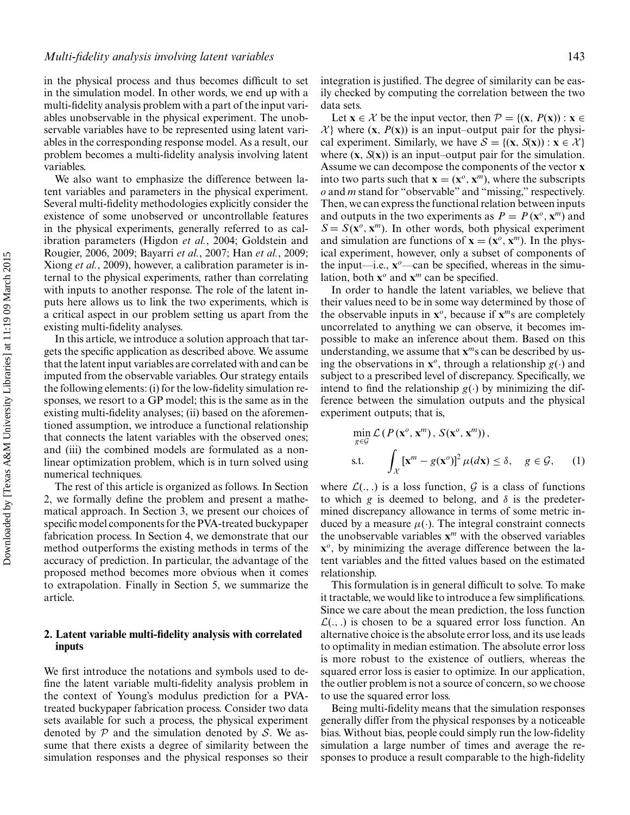in the physical process and thus becomes difficult to set in the simulation model. In other words, we end up with a multi-fidelity analysis problem with a part of the input variables unobservable in the physical experiment. The unobservable variables have to be represented using latent variables in the corresponding response model. As a result, our problem becomes a multi-fidelity analysis involving latent variables.

We also want to emphasize the difference between latent variables and parameters in the physical experiment. Several multi-fidelity methodologies explicitly consider the existence of some unobserved or uncontrollable features in the physical experiments, generally referred to as calibration parameters (Higdon *et al.*, 2004; Goldstein and Rougier, 2006, 2009; Bayarri *et al.*, 2007; Han *et al.*, 2009; Xiong *et al.*, 2009), however, a calibration parameter is internal to the physical experiments, rather than correlating with inputs to another response. The role of the latent inputs here allows us to link the two experiments, which is a critical aspect in our problem setting us apart from the existing multi-fidelity analyses.

In this article, we introduce a solution approach that targets the specific application as described above. We assume that the latent input variables are correlated with and can be imputed from the observable variables. Our strategy entails the following elements: (i) for the low-fidelity simulation responses, we resort to a GP model; this is the same as in the existing multi-fidelity analyses; (ii) based on the aforementioned assumption, we introduce a functional relationship that connects the latent variables with the observed ones; and (iii) the combined models are formulated as a nonlinear optimization problem, which is in turn solved using numerical techniques.

The rest of this article is organized as follows. In Section 2, we formally define the problem and present a mathematical approach. In Section 3, we present our choices of specific model components for the PVA-treated buckypaper fabrication process. In Section 4, we demonstrate that our method outperforms the existing methods in terms of the accuracy of prediction. In particular, the advantage of the proposed method becomes more obvious when it comes to extrapolation. Finally in Section 5, we summarize the article.

#### **2. Latent variable multi-fidelity analysis with correlated inputs**

We first introduce the notations and symbols used to define the latent variable multi-fidelity analysis problem in the context of Young's modulus prediction for a PVAtreated buckypaper fabrication process. Consider two data sets available for such a process, the physical experiment denoted by *P* and the simulation denoted by *S*. We assume that there exists a degree of similarity between the simulation responses and the physical responses so their

integration is justified. The degree of similarity can be easily checked by computing the correlation between the two data sets.

Let  $\mathbf{x} \in \mathcal{X}$  be the input vector, then  $\mathcal{P} = \{(\mathbf{x}, P(\mathbf{x})) : \mathbf{x} \in \mathcal{X} \}$  $\mathcal{X}$  where  $(\mathbf{x}, P(\mathbf{x}))$  is an input–output pair for the physical experiment. Similarly, we have  $S = \{(\mathbf{x}, S(\mathbf{x})) : \mathbf{x} \in \mathcal{X}\}\)$ where  $(\mathbf{x}, \mathbf{S}(\mathbf{x}))$  is an input–output pair for the simulation. Assume we can decompose the components of the vector **x** into two parts such that  $\mathbf{x} = (\mathbf{x}^{\circ}, \mathbf{x}^{\prime\prime})$ , where the subscripts *o* and *m* stand for "observable" and "missing," respectively. Then, we can express the functional relation between inputs and outputs in the two experiments as  $P = P(\mathbf{x}^o, \mathbf{x}^m)$  and  $S = S(\mathbf{x}^o, \mathbf{x}^m)$ . In other words, both physical experiment and simulation are functions of  $\mathbf{x} = (\mathbf{x}^{\circ}, \mathbf{x}^{\prime\prime})$ . In the physical experiment, however, only a subset of components of the input—i.e., **x***<sup>o</sup>*—can be specified, whereas in the simulation, both  $x^o$  and  $x^m$  can be specified.

In order to handle the latent variables, we believe that their values need to be in some way determined by those of the observable inputs in  $x^o$ , because if  $x^m$ s are completely uncorrelated to anything we can observe, it becomes impossible to make an inference about them. Based on this understanding, we assume that **x***<sup>m</sup>*s can be described by using the observations in  $\mathbf{x}^o$ , through a relationship  $g(\cdot)$  and subject to a prescribed level of discrepancy. Specifically, we intend to find the relationship  $g(\cdot)$  by minimizing the difference between the simulation outputs and the physical experiment outputs; that is,

$$
\min_{g \in \mathcal{G}} \mathcal{L}\left(P\left(\mathbf{x}^o, \mathbf{x}^m\right), S(\mathbf{x}^o, \mathbf{x}^m)\right),\
$$
\ns.t.

\n
$$
\int_{\mathcal{X}} \left[\mathbf{x}^m - g(\mathbf{x}^o)\right]^2 \mu(d\mathbf{x}) \leq \delta, \quad g \in \mathcal{G},\
$$
\n(1)

where  $\mathcal{L}(.,.)$  is a loss function,  $\mathcal G$  is a class of functions to which *g* is deemed to belong, and  $\delta$  is the predetermined discrepancy allowance in terms of some metric induced by a measure  $\mu(\cdot)$ . The integral constraint connects the unobservable variables **x***<sup>m</sup>* with the observed variables **x***<sup>o</sup>*, by minimizing the average difference between the latent variables and the fitted values based on the estimated relationship.

This formulation is in general difficult to solve. To make it tractable, we would like to introduce a few simplifications. Since we care about the mean prediction, the loss function  $\mathcal{L}(.,.)$  is chosen to be a squared error loss function. An alternative choice is the absolute error loss, and its use leads to optimality in median estimation. The absolute error loss is more robust to the existence of outliers, whereas the squared error loss is easier to optimize. In our application, the outlier problem is not a source of concern, so we choose to use the squared error loss.

Being multi-fidelity means that the simulation responses generally differ from the physical responses by a noticeable bias. Without bias, people could simply run the low-fidelity simulation a large number of times and average the responses to produce a result comparable to the high-fidelity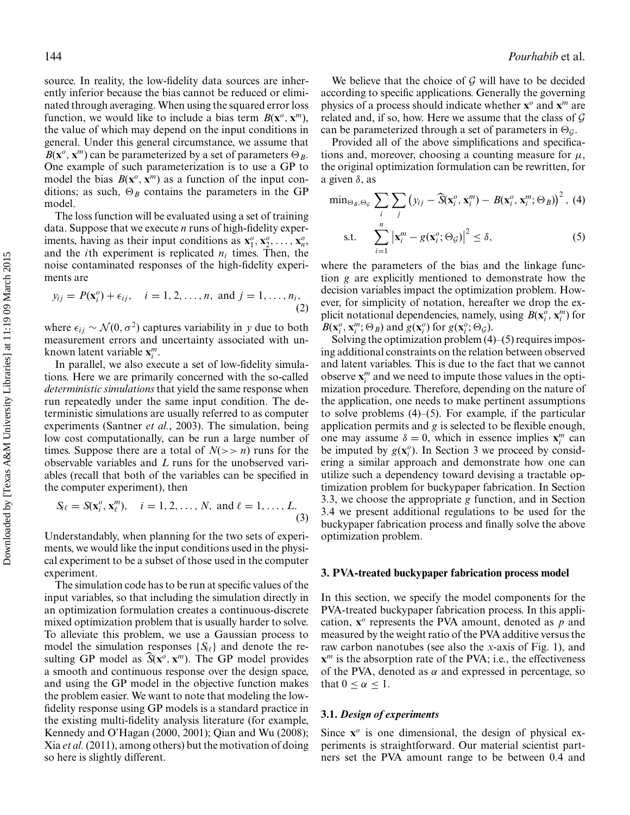source. In reality, the low-fidelity data sources are inherently inferior because the bias cannot be reduced or eliminated through averaging. When using the squared error loss function, we would like to include a bias term  $B(\mathbf{x}^o, \mathbf{x}^m)$ , the value of which may depend on the input conditions in general. Under this general circumstance, we assume that  $B(\mathbf{x}^o, \mathbf{x}^m)$  can be parameterized by a set of parameters  $\Theta_B$ . One example of such parameterization is to use a GP to model the bias  $B(\mathbf{x}^o, \mathbf{x}^m)$  as a function of the input conditions; as such,  $\Theta_B$  contains the parameters in the GP model.

The loss function will be evaluated using a set of training data. Suppose that we execute *n* runs of high-fidelity experiments, having as their input conditions as  $\mathbf{x}_1^o, \mathbf{x}_2^o, \ldots, \mathbf{x}_n^o$ and the *i*th experiment is replicated  $n_i$  times. Then, the noise contaminated responses of the high-fidelity experiments are

$$
y_{ij} = P(\mathbf{x}_i^o) + \epsilon_{ij}, \quad i = 1, 2, ..., n, \text{ and } j = 1, ..., n_i,
$$
 (2)

where  $\epsilon_{ij}$  ∼  $\mathcal{N}(0, \sigma^2)$  captures variability in *y* due to both measurement errors and uncertainty associated with unknown latent variable  $\mathbf{x}_i^m$ .

In parallel, we also execute a set of low-fidelity simulations. Here we are primarily concerned with the so-called *deterministic simulations* that yield the same response when run repeatedly under the same input condition. The deterministic simulations are usually referred to as computer experiments (Santner *et al.*, 2003). The simulation, being low cost computationally, can be run a large number of times. Suppose there are a total of  $N(>> n)$  runs for the observable variables and *L* runs for the unobserved variables (recall that both of the variables can be specified in the computer experiment), then

$$
S_{i\ell} = S(\mathbf{x}_i^o, \mathbf{x}_\ell^m), \quad i = 1, 2, ..., N, \text{ and } \ell = 1, ..., L.
$$
 (3)

Understandably, when planning for the two sets of experiments, we would like the input conditions used in the physical experiment to be a subset of those used in the computer experiment.

The simulation code has to be run at specific values of the input variables, so that including the simulation directly in an optimization formulation creates a continuous-discrete mixed optimization problem that is usually harder to solve. To alleviate this problem, we use a Gaussian process to model the simulation responses  $\{S_{i\ell}\}\$  and denote the resulting GP model as  $S(\mathbf{x}^o, \mathbf{x}^m)$ . The GP model provides a smooth and continuous response over the design space, and using the GP model in the objective function makes the problem easier. We want to note that modeling the lowfidelity response using GP models is a standard practice in the existing multi-fidelity analysis literature (for example, Kennedy and O'Hagan (2000, 2001); Qian and Wu (2008); Xia *et al.* (2011), among others) but the motivation of doing so here is slightly different.

We believe that the choice of G will have to be decided according to specific applications. Generally the governing physics of a process should indicate whether **x***<sup>o</sup>* and **x***<sup>m</sup>* are related and, if so, how. Here we assume that the class of *G* can be parameterized through a set of parameters in  $\Theta_{\mathcal{G}}$ .

Provided all of the above simplifications and specifications and, moreover, choosing a counting measure for  $\mu$ , the original optimization formulation can be rewritten, for a given  $\delta$ , as

$$
\min_{\Theta_B, \Theta_G} \sum_{i} \sum_{j} \left( y_{ij} - \widehat{S}(\mathbf{x}_i^o, \mathbf{x}_i^m) - B(\mathbf{x}_i^o, \mathbf{x}_i^m; \Theta_B) \right)^2, (4)
$$
\n
$$
\text{s.t.} \quad \sum_{i=1}^n \left| \mathbf{x}_i^m - g(\mathbf{x}_i^o; \Theta_G) \right|^2 \le \delta, \tag{5}
$$

where the parameters of the bias and the linkage function *g* are explicitly mentioned to demonstrate how the decision variables impact the optimization problem. However, for simplicity of notation, hereafter we drop the explicit notational dependencies, namely, using  $B(\mathbf{x}_i^o, \mathbf{x}_i^m)$  for  $B(\mathbf{x}_i^o, \mathbf{x}_i^m; \Theta_B)$  and  $g(\mathbf{x}_i^o)$  for  $g(\mathbf{x}_i^o; \Theta_G)$ .

Solving the optimization problem  $(4)$ – $(5)$  requires imposing additional constraints on the relation between observed and latent variables. This is due to the fact that we cannot observe  $\mathbf{x}_i^m$  and we need to impute those values in the optimization procedure. Therefore, depending on the nature of the application, one needs to make pertinent assumptions to solve problems (4)–(5). For example, if the particular application permits and *g* is selected to be flexible enough, one may assume  $\delta = 0$ , which in essence implies  $\mathbf{x}_i^m$  can be imputed by  $g(\mathbf{x}_i^o)$ . In Section 3 we proceed by considering a similar approach and demonstrate how one can utilize such a dependency toward devising a tractable optimization problem for buckypaper fabrication. In Section 3.3, we choose the appropriate *g* function, and in Section 3.4 we present additional regulations to be used for the buckypaper fabrication process and finally solve the above optimization problem.

#### **3. PVA-treated buckypaper fabrication process model**

In this section, we specify the model components for the PVA-treated buckypaper fabrication process. In this application, **x***<sup>o</sup>* represents the PVA amount, denoted as *p* and measured by the weight ratio of the PVA additive versus the raw carbon nanotubes (see also the *x*-axis of Fig. 1), and **x***<sup>m</sup>* is the absorption rate of the PVA; i.e., the effectiveness of the PVA, denoted as  $\alpha$  and expressed in percentage, so that  $0 \leq \alpha \leq 1$ .

#### **3.1.** *Design of experiments*

Since  $x^o$  is one dimensional, the design of physical experiments is straightforward. Our material scientist partners set the PVA amount range to be between 0.4 and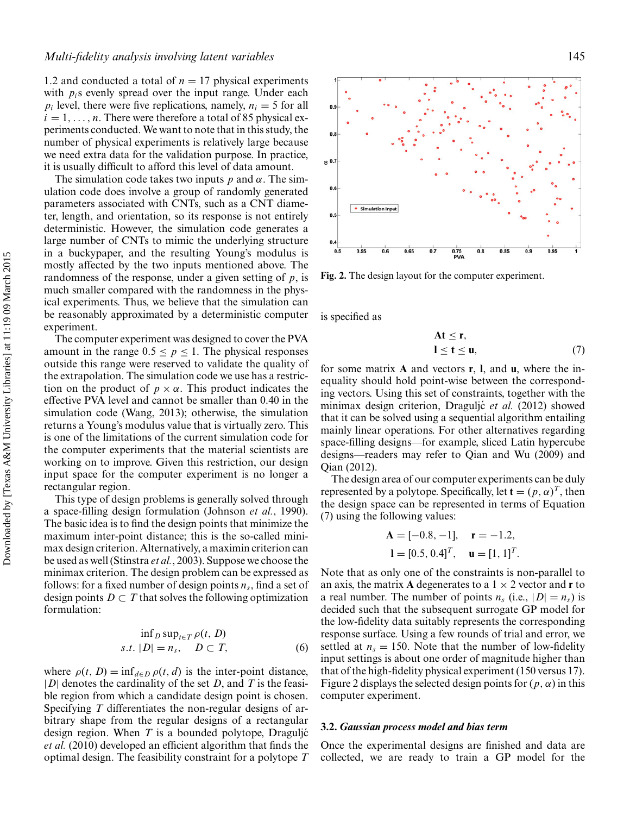1.2 and conducted a total of  $n = 17$  physical experiments with  $p_i$ s evenly spread over the input range. Under each  $p_i$  level, there were five replications, namely,  $n_i = 5$  for all  $i = 1, \ldots, n$ . There were therefore a total of 85 physical experiments conducted. We want to note that in this study, the number of physical experiments is relatively large because we need extra data for the validation purpose. In practice, it is usually difficult to afford this level of data amount.

The simulation code takes two inputs  $p$  and  $\alpha$ . The simulation code does involve a group of randomly generated parameters associated with CNTs, such as a CNT diameter, length, and orientation, so its response is not entirely deterministic. However, the simulation code generates a large number of CNTs to mimic the underlying structure in a buckypaper, and the resulting Young's modulus is mostly affected by the two inputs mentioned above. The randomness of the response, under a given setting of *p*, is much smaller compared with the randomness in the physical experiments. Thus, we believe that the simulation can be reasonably approximated by a deterministic computer experiment.

The computer experiment was designed to cover the PVA amount in the range  $0.5 \le p \le 1$ . The physical responses outside this range were reserved to validate the quality of the extrapolation. The simulation code we use has a restriction on the product of  $p \times \alpha$ . This product indicates the effective PVA level and cannot be smaller than 0.40 in the simulation code (Wang, 2013); otherwise, the simulation returns a Young's modulus value that is virtually zero. This is one of the limitations of the current simulation code for the computer experiments that the material scientists are working on to improve. Given this restriction, our design input space for the computer experiment is no longer a rectangular region.

This type of design problems is generally solved through a space-filling design formulation (Johnson *et al.*, 1990). The basic idea is to find the design points that minimize the maximum inter-point distance; this is the so-called minimax design criterion. Alternatively, a maximin criterion can be used as well (Stinstra *et al.*, 2003). Suppose we choose the minimax criterion. The design problem can be expressed as follows: for a fixed number of design points  $n<sub>s</sub>$ , find a set of design points  $D \subset T$  that solves the following optimization formulation:

$$
\inf_{D} \sup_{t \in T} \rho(t, D)
$$
  
s.t.  $|D| = n_s$ ,  $D \subset T$ , (6)

where  $\rho(t, D) = \inf_{d \in D} \rho(t, d)$  is the inter-point distance, |*D*| denotes the cardinality of the set *D*, and *T* is the feasible region from which a candidate design point is chosen. Specifying *T* differentiates the non-regular designs of arbitrary shape from the regular designs of a rectangular design region. When *T* is a bounded polytope, Draguljc´ *et al.* (2010) developed an efficient algorithm that finds the optimal design. The feasibility constraint for a polytope *T*



**Fig. 2.** The design layout for the computer experiment.

is specified as

$$
\begin{aligned} \mathbf{At} &\le \mathbf{r}, \\ \mathbf{l} &\le \mathbf{t} \le \mathbf{u}, \end{aligned} \tag{7}
$$

for some matrix **A** and vectors **r**, **l**, and **u**, where the inequality should hold point-wise between the corresponding vectors. Using this set of constraints, together with the minimax design criterion, Draguljć *et al.* (2012) showed that it can be solved using a sequential algorithm entailing mainly linear operations. For other alternatives regarding space-filling designs—for example, sliced Latin hypercube designs—readers may refer to Qian and Wu (2009) and Qian (2012).

The design area of our computer experiments can be duly represented by a polytope. Specifically, let  $\mathbf{t} = (p, \alpha)^T$ , then the design space can be represented in terms of Equation (7) using the following values:

$$
\mathbf{A} = [-0.8, -1], \quad \mathbf{r} = -1.2, \mathbf{I} = [0.5, 0.4]^T, \quad \mathbf{u} = [1, 1]^T.
$$

Note that as only one of the constraints is non-parallel to an axis, the matrix **A** degenerates to a  $1 \times 2$  vector and **r** to a real number. The number of points  $n_s$  (i.e.,  $|D| = n_s$ ) is decided such that the subsequent surrogate GP model for the low-fidelity data suitably represents the corresponding response surface. Using a few rounds of trial and error, we settled at  $n_s = 150$ . Note that the number of low-fidelity input settings is about one order of magnitude higher than that of the high-fidelity physical experiment (150 versus 17). Figure 2 displays the selected design points for  $(p, \alpha)$  in this computer experiment.

#### **3.2.** *Gaussian process model and bias term*

Once the experimental designs are finished and data are collected, we are ready to train a GP model for the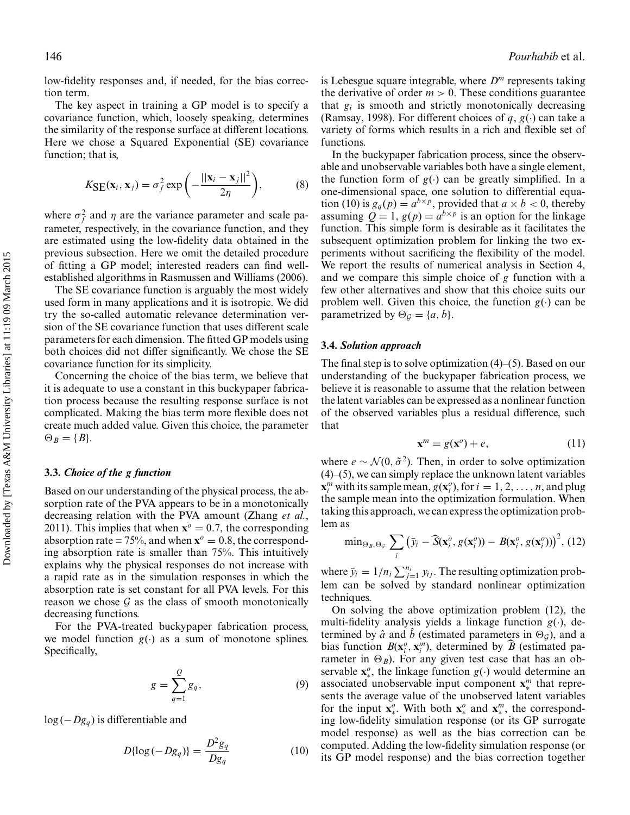low-fidelity responses and, if needed, for the bias correction term.

The key aspect in training a GP model is to specify a covariance function, which, loosely speaking, determines the similarity of the response surface at different locations. Here we chose a Squared Exponential (SE) covariance function; that is,

$$
K_{\text{SE}}(\mathbf{x}_i, \mathbf{x}_j) = \sigma_f^2 \exp\left(-\frac{||\mathbf{x}_i - \mathbf{x}_j||^2}{2\eta}\right),\tag{8}
$$

where  $\sigma_f^2$  and  $\eta$  are the variance parameter and scale parameter, respectively, in the covariance function, and they are estimated using the low-fidelity data obtained in the previous subsection. Here we omit the detailed procedure of fitting a GP model; interested readers can find wellestablished algorithms in Rasmussen and Williams (2006).

The SE covariance function is arguably the most widely used form in many applications and it is isotropic. We did try the so-called automatic relevance determination version of the SE covariance function that uses different scale parameters for each dimension. The fitted GP models using both choices did not differ significantly. We chose the SE covariance function for its simplicity.

Concerning the choice of the bias term, we believe that it is adequate to use a constant in this buckypaper fabrication process because the resulting response surface is not complicated. Making the bias term more flexible does not create much added value. Given this choice, the parameter  $\Theta_B = \{B\}.$ 

#### **3.3.** *Choice of the g function*

Based on our understanding of the physical process, the absorption rate of the PVA appears to be in a monotonically decreasing relation with the PVA amount (Zhang *et al.*, 2011). This implies that when  $\mathbf{x}^{\circ} = 0.7$ , the corresponding absorption rate =  $75\%$ , and when  $\mathbf{x}^{\circ} = 0.8$ , the corresponding absorption rate is smaller than 75%. This intuitively explains why the physical responses do not increase with a rapid rate as in the simulation responses in which the absorption rate is set constant for all PVA levels. For this reason we chose  $G$  as the class of smooth monotonically decreasing functions.

For the PVA-treated buckypaper fabrication process, we model function  $g(\cdot)$  as a sum of monotone splines. Specifically,

$$
g = \sum_{q=1}^{Q} g_q, \tag{9}
$$

log (−*Dgq* ) is differentiable and

$$
D\{\log(-Dg_q)\} = \frac{D^2g_q}{Dg_q} \tag{10}
$$

is Lebesgue square integrable, where  $D<sup>m</sup>$  represents taking the derivative of order  $m > 0$ . These conditions guarantee that  $g_i$  is smooth and strictly monotonically decreasing (Ramsay, 1998). For different choices of  $q, g(·)$  can take a variety of forms which results in a rich and flexible set of functions.

In the buckypaper fabrication process, since the observable and unobservable variables both have a single element, the function form of  $g(\cdot)$  can be greatly simplified. In a one-dimensional space, one solution to differential equation (10) is  $g_q(p) = a^{b \times p}$ , provided that  $a \times b < 0$ , thereby assuming  $Q = 1$ ,  $g(p) = a^{b \times p}$  is an option for the linkage function. This simple form is desirable as it facilitates the subsequent optimization problem for linking the two experiments without sacrificing the flexibility of the model. We report the results of numerical analysis in Section 4, and we compare this simple choice of *g* function with a few other alternatives and show that this choice suits our problem well. Given this choice, the function  $g(\cdot)$  can be parametrized by  $\Theta_{\mathcal{G}} = \{a, b\}.$ 

#### **3.4.** *Solution approach*

The final step is to solve optimization  $(4)$ – $(5)$ . Based on our understanding of the buckypaper fabrication process, we believe it is reasonable to assume that the relation between the latent variables can be expressed as a nonlinear function of the observed variables plus a residual difference, such that

$$
\mathbf{x}^m = g(\mathbf{x}^o) + e,\tag{11}
$$

where  $e \sim \mathcal{N}(0, \tilde{\sigma}^2)$ . Then, in order to solve optimization (4)–(5), we can simply replace the unknown latent variables  $\mathbf{x}_i^m$  with its sample mean,  $g(\mathbf{x}_i^o)$ , for  $i = 1, 2, ..., n$ , and plug the sample mean into the optimization formulation. When taking this approach, we can express the optimization problem as

$$
\min_{\Theta_B, \Theta_{\mathcal{G}}} \sum_i (\bar{y}_i - \widehat{S}(\mathbf{x}_i^o, g(\mathbf{x}_i^o)) - B(\mathbf{x}_i^o, g(\mathbf{x}_i^o)))^2, (12)
$$

where  $\bar{y}_i = 1/n_i \sum_{j=1}^{n_i} y_{ij}$ . The resulting optimization problem can be solved by standard nonlinear optimization techniques.

On solving the above optimization problem (12), the multi-fidelity analysis yields a linkage function *g*(·), determined by  $\hat{a}$  and *b* (estimated parameters in  $\Theta$ <sub>*G*</sub>), and a bias function  $B(\mathbf{x}_i^o, \mathbf{x}_i^m)$ , determined by  $\widehat{B}$  (estimated parameter in  $\Theta_B$ ). For any given test case that has an observable  $\mathbf{x}^o_*$ , the linkage function  $g(\cdot)$  would determine an associated unobservable input component **x**<sup>*m*</sup> that represents the average value of the unobserved latent variables for the input  $\mathbf{x}^o_*$ . With both  $\mathbf{x}^o_*$  and  $\mathbf{x}^m_*$ , the corresponding low-fidelity simulation response (or its GP surrogate model response) as well as the bias correction can be computed. Adding the low-fidelity simulation response (or its GP model response) and the bias correction together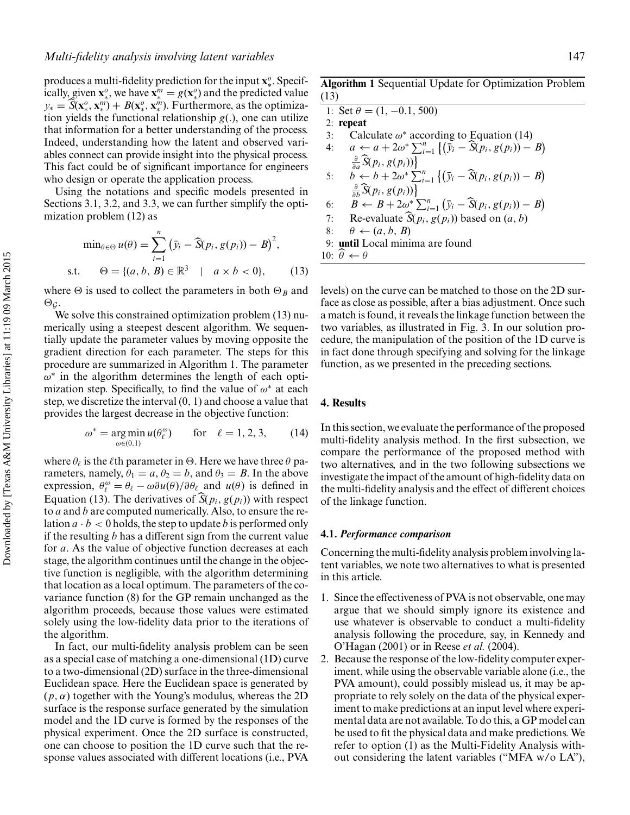produces a multi-fidelity prediction for the input **x***<sup>o</sup>* ∗. Specifically, given  $\mathbf{x}^o_*$ , we have  $\mathbf{x}^m_* = g(\mathbf{x}^o_*)$  and the predicted value  $y_* = \widehat{S}(\mathbf{x}_*^o, \mathbf{x}_*^m) + B(\mathbf{x}_*^o, \mathbf{x}_*^m)$ . Furthermore, as the optimization yields the functional relationship  $g(.)$ , one can utilize that information for a better understanding of the process. Indeed, understanding how the latent and observed variables connect can provide insight into the physical process. This fact could be of significant importance for engineers who design or operate the application process.

Using the notations and specific models presented in Sections 3.1, 3.2, and 3.3, we can further simplify the optimization problem (12) as

$$
\min_{\theta \in \Theta} u(\theta) = \sum_{i=1}^{n} (\bar{y}_i - \widehat{S}(p_i, g(p_i)) - B)^2,
$$
  
s.t. 
$$
\Theta = \{(a, b, B) \in \mathbb{R}^3 \mid a \times b < 0\}, \qquad (13)
$$

where  $\Theta$  is used to collect the parameters in both  $\Theta_B$  and  $\Theta$ <sub>*G*</sub>.

We solve this constrained optimization problem  $(13)$  numerically using a steepest descent algorithm. We sequentially update the parameter values by moving opposite the gradient direction for each parameter. The steps for this procedure are summarized in Algorithm 1. The parameter  $\omega^*$  in the algorithm determines the length of each optimization step. Specifically, to find the value of  $\omega^*$  at each step, we discretize the interval (0, 1) and choose a value that provides the largest decrease in the objective function:

$$
\omega^* = \underset{\omega \in (0,1)}{\arg \min} \, u(\theta_\ell^{\omega}) \qquad \text{for} \quad \ell = 1,2,3, \tag{14}
$$

where  $\theta_{\ell}$  is the  $\ell$ th parameter in  $\Theta$ . Here we have three  $\theta$  parameters, namely,  $\theta_1 = a$ ,  $\theta_2 = b$ , and  $\theta_3 = B$ . In the above expression,  $\theta_{\ell}^{\omega} = \theta_{\ell} - \omega \partial u(\theta) / \partial \theta_{\ell}$  and  $u(\theta)$  is defined in Equation (13). The derivatives of  $\hat{S}(p_i, g(p_i))$  with respect to *a* and *b* are computed numerically. Also, to ensure the relation  $a \cdot b < 0$  holds, the step to update *b* is performed only if the resulting *b* has a different sign from the current value for *a*. As the value of objective function decreases at each stage, the algorithm continues until the change in the objective function is negligible, with the algorithm determining that location as a local optimum. The parameters of the covariance function (8) for the GP remain unchanged as the algorithm proceeds, because those values were estimated solely using the low-fidelity data prior to the iterations of the algorithm.

In fact, our multi-fidelity analysis problem can be seen as a special case of matching a one-dimensional (1D) curve to a two-dimensional (2D) surface in the three-dimensional Euclidean space. Here the Euclidean space is generated by  $(p, \alpha)$  together with the Young's modulus, whereas the 2D surface is the response surface generated by the simulation model and the 1D curve is formed by the responses of the physical experiment. Once the 2D surface is constructed, one can choose to position the 1D curve such that the response values associated with different locations (i.e., PVA

**Algorithm 1** Sequential Update for Optimization Problem (13)

1: Set  $\theta = (1, -0.1, 500)$ 2: **repeat** 3: Calculate  $\omega^*$  according to Equation (14) 4:  $a \leftarrow a + 2\omega^* \sum_{i=1}^n \left\{ (\bar{y}_i - \hat{S}(p_i, g(p_i)) - B \right\}$  $\frac{\partial}{\partial a}$  $\widehat{S}(p_i, g(p_i))$ 5:  $b \leftarrow b + 2\omega^* \sum_{i=1}^n \left\{ (\bar{y}_i - \hat{S}(p_i, g(p_i)) - B \right\}$  $\frac{\partial}{\partial b}$  $\widehat{S}(p_i, g(p_i))$ 6:  $B \leftarrow B + 2\omega^* \sum_{i=1}^n (\bar{y}_i - \widehat{S}(p_i, g(p_i)) - B)$ 7: Re-evaluate  $\widehat{S}(p_i, g(p_i))$  based on  $(a, b)$ <br>8:  $\theta \leftarrow (a, b, B)$  $\theta \leftarrow (a, b, B)$ 9: **until** Local minima are found 10:  $\hat{\theta} \leftarrow \theta$ 

levels) on the curve can be matched to those on the 2D surface as close as possible, after a bias adjustment. Once such a match is found, it reveals the linkage function between the two variables, as illustrated in Fig. 3. In our solution procedure, the manipulation of the position of the 1D curve is in fact done through specifying and solving for the linkage function, as we presented in the preceding sections.

#### **4. Results**

In this section, we evaluate the performance of the proposed multi-fidelity analysis method. In the first subsection, we compare the performance of the proposed method with two alternatives, and in the two following subsections we investigate the impact of the amount of high-fidelity data on the multi-fidelity analysis and the effect of different choices of the linkage function.

#### **4.1.** *Performance comparison*

Concerning the multi-fidelity analysis problem involving latent variables, we note two alternatives to what is presented in this article.

- 1. Since the effectiveness of PVA is not observable, one may argue that we should simply ignore its existence and use whatever is observable to conduct a multi-fidelity analysis following the procedure, say, in Kennedy and O'Hagan (2001) or in Reese *et al.* (2004).
- 2. Because the response of the low-fidelity computer experiment, while using the observable variable alone (i.e., the PVA amount), could possibly mislead us, it may be appropriate to rely solely on the data of the physical experiment to make predictions at an input level where experimental data are not available. To do this, a GP model can be used to fit the physical data and make predictions. We refer to option (1) as the Multi-Fidelity Analysis without considering the latent variables ("MFA w/o LA"),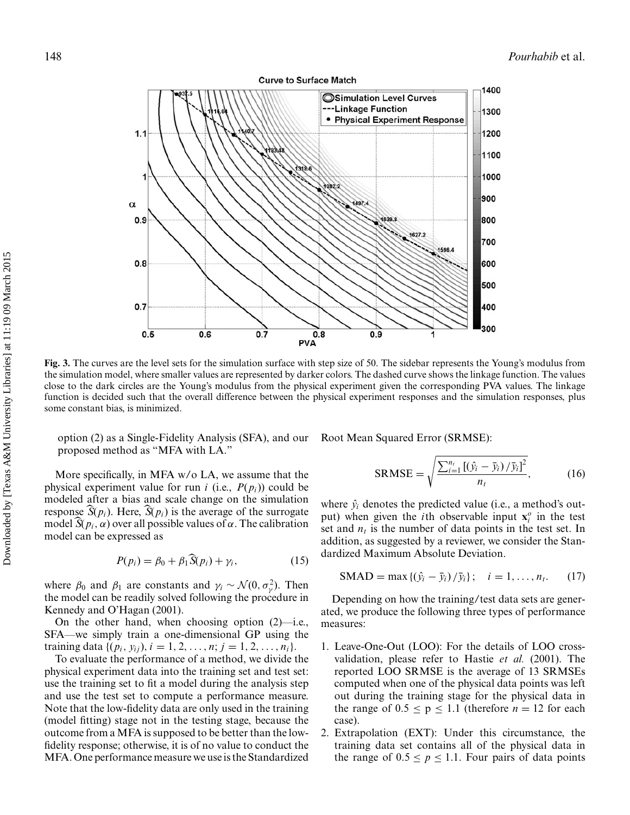

**Fig. 3.** The curves are the level sets for the simulation surface with step size of 50. The sidebar represents the Young's modulus from the simulation model, where smaller values are represented by darker colors. The dashed curve shows the linkage function. The values close to the dark circles are the Young's modulus from the physical experiment given the corresponding PVA values. The linkage function is decided such that the overall difference between the physical experiment responses and the simulation responses, plus some constant bias, is minimized.

option (2) as a Single-Fidelity Analysis (SFA), and our Root Mean Squared Error (SRMSE): proposed method as "MFA with LA."

More specifically, in MFA w/o LA, we assume that the physical experiment value for run *i* (i.e.,  $P(p_i)$ ) could be modeled after a bias and scale change on the simulation response  $\tilde{S}(p_i)$ . Here,  $\tilde{S}(p_i)$  is the average of the surrogate model  $S(p_i, \alpha)$  over all possible values of  $\alpha$ . The calibration model can be expressed as

$$
P(p_i) = \beta_0 + \beta_1 \widehat{S}(p_i) + \gamma_i, \qquad (15)
$$

where  $\beta_0$  and  $\beta_1$  are constants and  $\gamma_i \sim \mathcal{N}(0, \sigma_{\gamma}^2)$ . Then the model can be readily solved following the procedure in Kennedy and O'Hagan (2001).

On the other hand, when choosing option  $(2)$ —i.e., SFA—we simply train a one-dimensional GP using the training data  $\{(p_i, y_{ij}), i = 1, 2, \ldots, n; j = 1, 2, \ldots, n_i\}.$ 

To evaluate the performance of a method, we divide the physical experiment data into the training set and test set: use the training set to fit a model during the analysis step and use the test set to compute a performance measure. Note that the low-fidelity data are only used in the training (model fitting) stage not in the testing stage, because the outcome from a MFA is supposed to be better than the lowfidelity response; otherwise, it is of no value to conduct the MFA. One performance measure we use is the Standardized

$$
SRMSE = \sqrt{\frac{\sum_{i=1}^{n_t} [(\hat{y}_i - \bar{y}_i) / \bar{y}_i]^2}{n_t}},
$$
 (16)

where  $\hat{y}_i$  denotes the predicted value (i.e., a method's output) when given the *i*th observable input  $\mathbf{x}_i^o$  in the test set and  $n_t$  is the number of data points in the test set. In addition, as suggested by a reviewer, we consider the Standardized Maximum Absolute Deviation.

$$
SMAD = \max \{ (\hat{y}_i - \bar{y}_i) / \bar{y}_i \}; \quad i = 1, ..., n_t. \tag{17}
$$

Depending on how the training/test data sets are generated, we produce the following three types of performance measures:

- 1. Leave-One-Out (LOO): For the details of LOO crossvalidation, please refer to Hastie *et al.* (2001). The reported LOO SRMSE is the average of 13 SRMSEs computed when one of the physical data points was left out during the training stage for the physical data in the range of  $0.5 \le p \le 1.1$  (therefore  $n = 12$  for each case).
- 2. Extrapolation (EXT): Under this circumstance, the training data set contains all of the physical data in the range of  $0.5 \le p \le 1.1$ . Four pairs of data points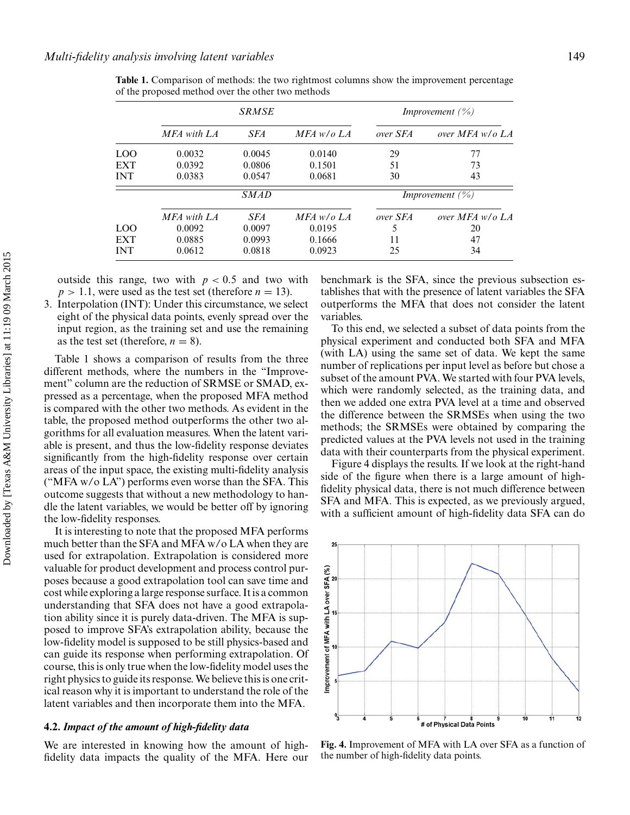|            | <b>SRMSE</b>    |            |              | Improvement $(\% )$       |                 |
|------------|-----------------|------------|--------------|---------------------------|-----------------|
|            | MFA with LA     | <b>SFA</b> | $MFA$ w/o LA | over SFA                  | over MFA w/o LA |
| LOO        | 0.0032          | 0.0045     | 0.0140       | 29                        | 77              |
| <b>EXT</b> | 0.0392          | 0.0806     | 0.1501       | 51                        | 73              |
| <b>INT</b> | 0.0383          | 0.0547     | 0.0681       | 30                        | 43              |
|            | <b>SMAD</b>     |            |              | <i>Improvement</i> $(\%)$ |                 |
|            | $MFA$ with $LA$ | <b>SFA</b> | $MFA$ w/o LA | over SFA                  | over MFA w/o LA |
| LOO        | 0.0092          | 0.0097     | 0.0195       |                           | 20              |
| <b>EXT</b> | 0.0885          | 0.0993     | 0.1666       | 11                        | 47              |
| <b>INT</b> | 0.0612          | 0.0818     | 0.0923       | 25                        | 34              |

**Table 1.** Comparison of methods: the two rightmost columns show the improvement percentage of the proposed method over the other two methods

outside this range, two with  $p < 0.5$  and two with  $p > 1.1$ , were used as the test set (therefore  $n = 13$ ).

3. Interpolation (INT): Under this circumstance, we select eight of the physical data points, evenly spread over the input region, as the training set and use the remaining as the test set (therefore,  $n = 8$ ).

Table 1 shows a comparison of results from the three different methods, where the numbers in the "Improvement" column are the reduction of SRMSE or SMAD, expressed as a percentage, when the proposed MFA method is compared with the other two methods. As evident in the table, the proposed method outperforms the other two algorithms for all evaluation measures. When the latent variable is present, and thus the low-fidelity response deviates significantly from the high-fidelity response over certain areas of the input space, the existing multi-fidelity analysis ("MFA w/o LA") performs even worse than the SFA. This outcome suggests that without a new methodology to handle the latent variables, we would be better off by ignoring the low-fidelity responses.

It is interesting to note that the proposed MFA performs much better than the SFA and MFA w/o LA when they are used for extrapolation. Extrapolation is considered more valuable for product development and process control purposes because a good extrapolation tool can save time and cost while exploring a large response surface. It is a common understanding that SFA does not have a good extrapolation ability since it is purely data-driven. The MFA is supposed to improve SFA's extrapolation ability, because the low-fidelity model is supposed to be still physics-based and can guide its response when performing extrapolation. Of course, this is only true when the low-fidelity model uses the right physics to guide its response.We believe this is one critical reason why it is important to understand the role of the latent variables and then incorporate them into the MFA.

#### **4.2.** *Impact of the amount of high-fidelity data*

We are interested in knowing how the amount of highfidelity data impacts the quality of the MFA. Here our

benchmark is the SFA, since the previous subsection establishes that with the presence of latent variables the SFA outperforms the MFA that does not consider the latent variables.

To this end, we selected a subset of data points from the physical experiment and conducted both SFA and MFA (with LA) using the same set of data. We kept the same number of replications per input level as before but chose a subset of the amount PVA. We started with four PVA levels, which were randomly selected, as the training data, and then we added one extra PVA level at a time and observed the difference between the SRMSEs when using the two methods; the SRMSEs were obtained by comparing the predicted values at the PVA levels not used in the training data with their counterparts from the physical experiment.

Figure 4 displays the results. If we look at the right-hand side of the figure when there is a large amount of highfidelity physical data, there is not much difference between SFA and MFA. This is expected, as we previously argued, with a sufficient amount of high-fidelity data SFA can do



**Fig. 4.** Improvement of MFA with LA over SFA as a function of the number of high-fidelity data points.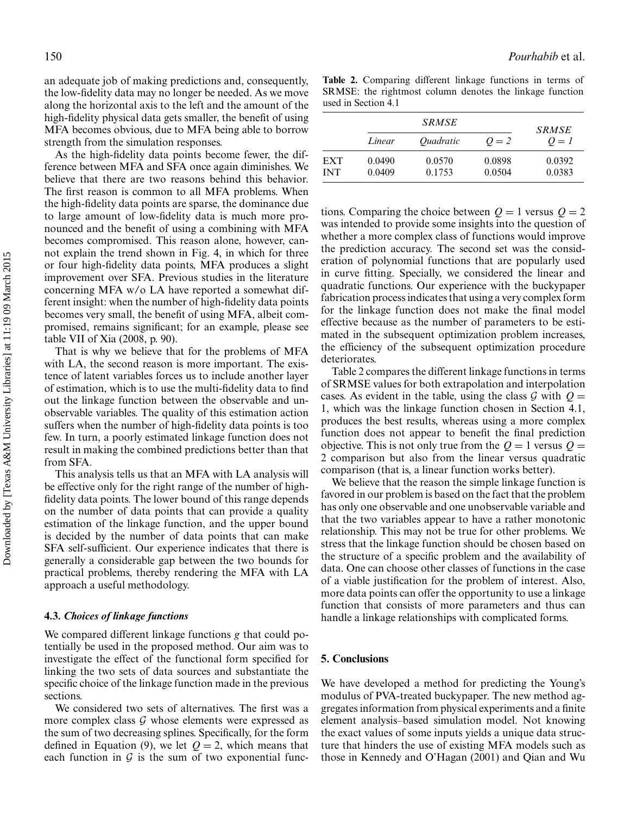an adequate job of making predictions and, consequently, the low-fidelity data may no longer be needed. As we move along the horizontal axis to the left and the amount of the high-fidelity physical data gets smaller, the benefit of using MFA becomes obvious, due to MFA being able to borrow strength from the simulation responses.

As the high-fidelity data points become fewer, the difference between MFA and SFA once again diminishes. We believe that there are two reasons behind this behavior. The first reason is common to all MFA problems. When the high-fidelity data points are sparse, the dominance due to large amount of low-fidelity data is much more pronounced and the benefit of using a combining with MFA becomes compromised. This reason alone, however, cannot explain the trend shown in Fig. 4, in which for three or four high-fidelity data points, MFA produces a slight improvement over SFA. Previous studies in the literature concerning MFA w/o LA have reported a somewhat different insight: when the number of high-fidelity data points becomes very small, the benefit of using MFA, albeit compromised, remains significant; for an example, please see table VII of Xia (2008, p. 90).

That is why we believe that for the problems of MFA with LA, the second reason is more important. The existence of latent variables forces us to include another layer of estimation, which is to use the multi-fidelity data to find out the linkage function between the observable and unobservable variables. The quality of this estimation action suffers when the number of high-fidelity data points is too few. In turn, a poorly estimated linkage function does not result in making the combined predictions better than that from SFA.

This analysis tells us that an MFA with LA analysis will be effective only for the right range of the number of highfidelity data points. The lower bound of this range depends on the number of data points that can provide a quality estimation of the linkage function, and the upper bound is decided by the number of data points that can make SFA self-sufficient. Our experience indicates that there is generally a considerable gap between the two bounds for practical problems, thereby rendering the MFA with LA approach a useful methodology.

#### **4.3.** *Choices of linkage functions*

We compared different linkage functions *g* that could potentially be used in the proposed method. Our aim was to investigate the effect of the functional form specified for linking the two sets of data sources and substantiate the specific choice of the linkage function made in the previous sections.

We considered two sets of alternatives. The first was a more complex class *G* whose elements were expressed as the sum of two decreasing splines. Specifically, for the form defined in Equation (9), we let  $Q = 2$ , which means that each function in  $G$  is the sum of two exponential func-

**Table 2.** Comparing different linkage functions in terms of SRMSE: the rightmost column denotes the linkage function used in Section 4.1

|                          |                  | <i>SRMSE</i>     |                  |                  |
|--------------------------|------------------|------------------|------------------|------------------|
|                          | Linear           | <i>Ouadratic</i> | $Q=2$            | $Q = I$          |
| <b>EXT</b><br><b>INT</b> | 0.0490<br>0.0409 | 0.0570<br>0.1753 | 0.0898<br>0.0504 | 0.0392<br>0.0383 |

tions. Comparing the choice between  $Q = 1$  versus  $Q = 2$ was intended to provide some insights into the question of whether a more complex class of functions would improve the prediction accuracy. The second set was the consideration of polynomial functions that are popularly used in curve fitting. Specially, we considered the linear and quadratic functions. Our experience with the buckypaper fabrication process indicates that using a very complex form for the linkage function does not make the final model effective because as the number of parameters to be estimated in the subsequent optimization problem increases, the efficiency of the subsequent optimization procedure deteriorates.

Table 2 compares the different linkage functions in terms of SRMSE values for both extrapolation and interpolation cases. As evident in the table, using the class  $G$  with  $Q =$ 1, which was the linkage function chosen in Section 4.1, produces the best results, whereas using a more complex function does not appear to benefit the final prediction objective. This is not only true from the  $Q = 1$  versus  $Q =$ 2 comparison but also from the linear versus quadratic comparison (that is, a linear function works better).

We believe that the reason the simple linkage function is favored in our problem is based on the fact that the problem has only one observable and one unobservable variable and that the two variables appear to have a rather monotonic relationship. This may not be true for other problems. We stress that the linkage function should be chosen based on the structure of a specific problem and the availability of data. One can choose other classes of functions in the case of a viable justification for the problem of interest. Also, more data points can offer the opportunity to use a linkage function that consists of more parameters and thus can handle a linkage relationships with complicated forms.

#### **5. Conclusions**

We have developed a method for predicting the Young's modulus of PVA-treated buckypaper. The new method aggregates information from physical experiments and a finite element analysis–based simulation model. Not knowing the exact values of some inputs yields a unique data structure that hinders the use of existing MFA models such as those in Kennedy and O'Hagan (2001) and Qian and Wu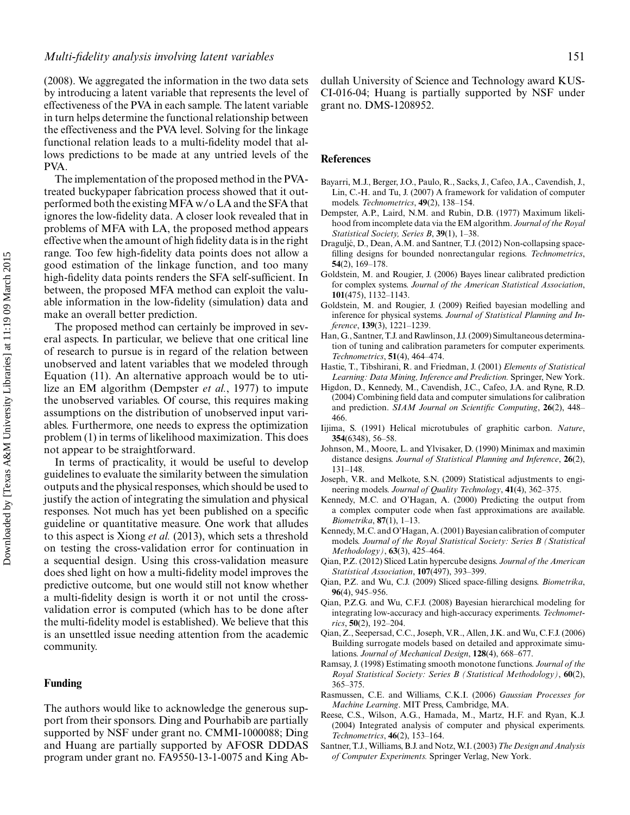(2008). We aggregated the information in the two data sets by introducing a latent variable that represents the level of effectiveness of the PVA in each sample. The latent variable in turn helps determine the functional relationship between the effectiveness and the PVA level. Solving for the linkage functional relation leads to a multi-fidelity model that allows predictions to be made at any untried levels of the PVA.

The implementation of the proposed method in the PVAtreated buckypaper fabrication process showed that it outperformed both the existingMFA w/o LA and the SFA that ignores the low-fidelity data. A closer look revealed that in problems of MFA with LA, the proposed method appears effective when the amount of high fidelity data is in the right range. Too few high-fidelity data points does not allow a good estimation of the linkage function, and too many high-fidelity data points renders the SFA self-sufficient. In between, the proposed MFA method can exploit the valuable information in the low-fidelity (simulation) data and make an overall better prediction.

The proposed method can certainly be improved in several aspects. In particular, we believe that one critical line of research to pursue is in regard of the relation between unobserved and latent variables that we modeled through Equation (11). An alternative approach would be to utilize an EM algorithm (Dempster *et al.*, 1977) to impute the unobserved variables. Of course, this requires making assumptions on the distribution of unobserved input variables. Furthermore, one needs to express the optimization problem (1) in terms of likelihood maximization. This does not appear to be straightforward.

In terms of practicality, it would be useful to develop guidelines to evaluate the similarity between the simulation outputs and the physical responses, which should be used to justify the action of integrating the simulation and physical responses. Not much has yet been published on a specific guideline or quantitative measure. One work that alludes to this aspect is Xiong *et al.* (2013), which sets a threshold on testing the cross-validation error for continuation in a sequential design. Using this cross-validation measure does shed light on how a multi-fidelity model improves the predictive outcome, but one would still not know whether a multi-fidelity design is worth it or not until the crossvalidation error is computed (which has to be done after the multi-fidelity model is established). We believe that this is an unsettled issue needing attention from the academic community.

#### **Funding**

The authors would like to acknowledge the generous support from their sponsors. Ding and Pourhabib are partially supported by NSF under grant no. CMMI-1000088; Ding and Huang are partially supported by AFOSR DDDAS program under grant no. FA9550-13-1-0075 and King Abdullah University of Science and Technology award KUS-CI-016-04; Huang is partially supported by NSF under grant no. DMS-1208952.

#### **References**

- Bayarri, M.J., Berger, J.O., Paulo, R., Sacks, J., Cafeo, J.A., Cavendish, J., Lin, C.-H. and Tu, J. (2007) A framework for validation of computer models. *Technometrics*, **49**(2), 138–154.
- Dempster, A.P., Laird, N.M. and Rubin, D.B. (1977) Maximum likelihood from incomplete data via the EM algorithm. *Journal of the Royal Statistical Society, Series B*, **39**(1), 1–38.
- Draguljć, D., Dean, A.M. and Santner, T.J. (2012) Non-collapsing spacefilling designs for bounded nonrectangular regions. *Technometrics*, **54**(2), 169–178.
- Goldstein, M. and Rougier, J. (2006) Bayes linear calibrated prediction for complex systems. *Journal of the American Statistical Association*, **101**(475), 1132–1143.
- Goldstein, M. and Rougier, J. (2009) Reified bayesian modelling and inference for physical systems. *Journal of Statistical Planning and Inference*, **139**(3), 1221–1239.
- Han, G., Santner, T.J. and Rawlinson, J.J. (2009) Simultaneous determination of tuning and calibration parameters for computer experiments. *Technometrics*, **51**(4), 464–474.
- Hastie, T., Tibshirani, R. and Friedman, J. (2001) *Elements of Statistical Learning: Data Mining, Inference and Prediction.* Springer, New York.
- Higdon, D., Kennedy, M., Cavendish, J.C., Cafeo, J.A. and Ryne, R.D. (2004) Combining field data and computer simulations for calibration and prediction. *SIAM Journal on Scientific Computing*, **26**(2), 448– 466.
- Iijima, S. (1991) Helical microtubules of graphitic carbon. *Nature*, **354**(6348), 56–58.
- Johnson, M., Moore, L. and Ylvisaker, D. (1990) Minimax and maximin distance designs. *Journal of Statistical Planning and Inference*, **26**(2), 131–148.
- Joseph, V.R. and Melkote, S.N. (2009) Statistical adjustments to engineering models. *Journal of Quality Technology*, **41**(4), 362–375.
- Kennedy, M.C. and O'Hagan, A. (2000) Predicting the output from a complex computer code when fast approximations are available. *Biometrika*, **87**(1), 1–13.
- Kennedy, M.C. and O'Hagan, A. (2001) Bayesian calibration of computer models. *Journal of the Royal Statistical Society: Series B (Statistical Methodology)*, **63**(3), 425–464.
- Qian, P.Z. (2012) Sliced Latin hypercube designs. *Journal of the American Statistical Association*, **107**(497), 393–399.
- Qian, P.Z. and Wu, C.J. (2009) Sliced space-filling designs. *Biometrika*, **96**(4), 945–956.
- Qian, P.Z.G. and Wu, C.F.J. (2008) Bayesian hierarchical modeling for integrating low-accuracy and high-accuracy experiments. *Technometrics*, **50**(2), 192–204.
- Qian, Z., Seepersad, C.C., Joseph, V.R., Allen, J.K. and Wu, C.F.J. (2006) Building surrogate models based on detailed and approximate simulations. *Journal of Mechanical Design*, **128**(4), 668–677.
- Ramsay, J. (1998) Estimating smooth monotone functions. *Journal of the Royal Statistical Society: Series B (Statistical Methodology)*, **60**(2), 365–375.
- Rasmussen, C.E. and Williams, C.K.I. (2006) *Gaussian Processes for Machine Learning*. MIT Press, Cambridge, MA.
- Reese, C.S., Wilson, A.G., Hamada, M., Martz, H.F. and Ryan, K.J. (2004) Integrated analysis of computer and physical experiments. *Technometrics*, **46**(2), 153–164.
- Santner, T.J.,Williams, B.J. and Notz,W.I. (2003)*The Design and Analysis of Computer Experiments.* Springer Verlag, New York.